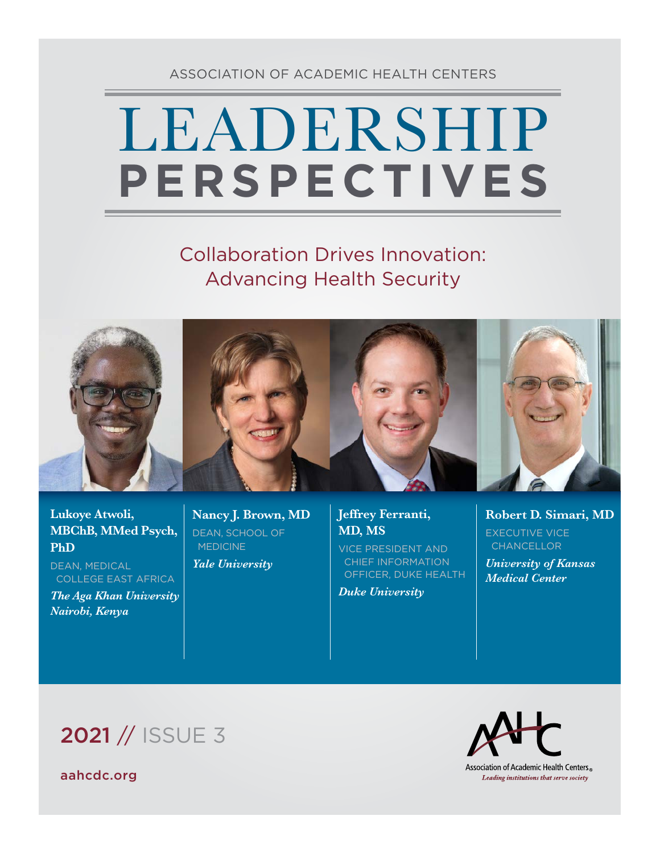### ASSOCIATION OF ACADEMIC HEALTH CENTERS

# LEADERSHIP **PERSPECTIVES**

# Collaboration Drives Innovation: Advancing Health Security



### **Lukoye Atwoli, MBChB, MMed Psych, PhD**

DEAN, MEDICAL COLLEGE EAST AFRICA

*The Aga Khan University Nairobi, Kenya*

**Nancy J. Brown, MD** DEAN, SCHOOL OF **MEDICINE** 

*Yale University*

### **Jeffrey Ferranti, MD, MS**

VICE PRESIDENT AND CHIEF INFORMATION OFFICER, DUKE HEALTH

*Duke University*

**Robert D. Simari, MD** EXECUTIVE VICE **CHANCELLOR** 

*University of Kansas Medical Center*

2021 // ISSUE 3





Association of Academic Health Centers<sup>®</sup> Leading institutions that serve society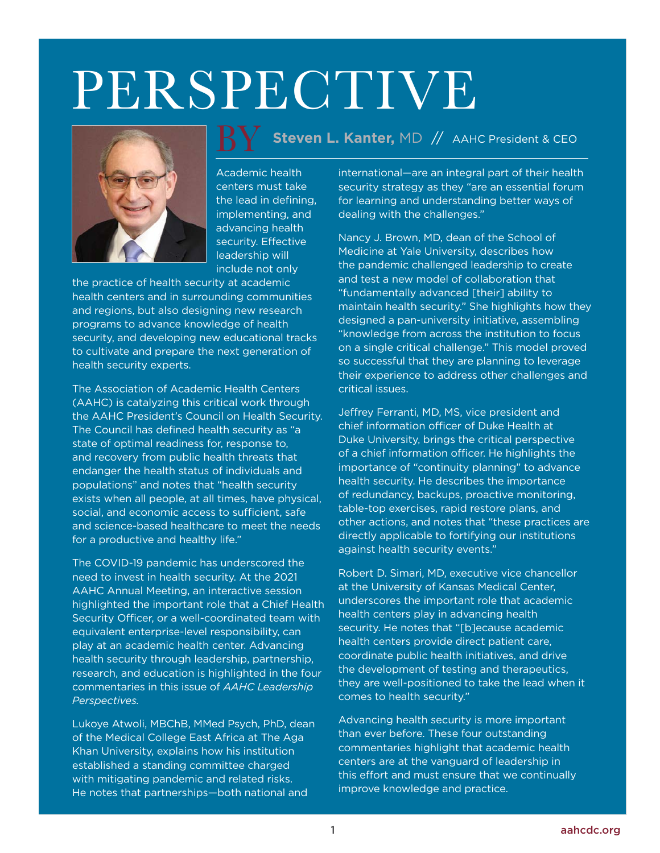# PERSPECTIVE



Academic health centers must take the lead in defining, implementing, and advancing health security. Effective leadership will include not only

the practice of health security at academic health centers and in surrounding communities and regions, but also designing new research programs to advance knowledge of health security, and developing new educational tracks to cultivate and prepare the next generation of health security experts.

The Association of Academic Health Centers (AAHC) is catalyzing this critical work through the AAHC President's Council on Health Security. The Council has defined health security as "a state of optimal readiness for, response to, and recovery from public health threats that endanger the health status of individuals and populations" and notes that "health security exists when all people, at all times, have physical, social, and economic access to sufficient, safe and science-based healthcare to meet the needs for a productive and healthy life."

The COVID-19 pandemic has underscored the need to invest in health security. At the 2021 AAHC Annual Meeting, an interactive session highlighted the important role that a Chief Health Security Officer, or a well-coordinated team with equivalent enterprise-level responsibility, can play at an academic health center. Advancing health security through leadership, partnership, research, and education is highlighted in the four commentaries in this issue of *AAHC Leadership Perspectives.*

Lukoye Atwoli, MBChB, MMed Psych, PhD, dean of the Medical College East Africa at The Aga Khan University, explains how his institution established a standing committee charged with mitigating pandemic and related risks. He notes that partnerships—both national and

## **Steven L. Kanter,** MD // AAHC President & CEO <u>BY</u>

international—are an integral part of their health security strategy as they "are an essential forum for learning and understanding better ways of dealing with the challenges."

Nancy J. Brown, MD, dean of the School of Medicine at Yale University, describes how the pandemic challenged leadership to create and test a new model of collaboration that "fundamentally advanced [their] ability to maintain health security." She highlights how they designed a pan-university initiative, assembling "knowledge from across the institution to focus on a single critical challenge." This model proved so successful that they are planning to leverage their experience to address other challenges and critical issues.

Jeffrey Ferranti, MD, MS, vice president and chief information officer of Duke Health at Duke University, brings the critical perspective of a chief information officer. He highlights the importance of "continuity planning" to advance health security. He describes the importance of redundancy, backups, proactive monitoring, table-top exercises, rapid restore plans, and other actions, and notes that "these practices are directly applicable to fortifying our institutions against health security events."

Robert D. Simari, MD, executive vice chancellor at the University of Kansas Medical Center, underscores the important role that academic health centers play in advancing health security. He notes that "[b]ecause academic health centers provide direct patient care, coordinate public health initiatives, and drive the development of testing and therapeutics, they are well-positioned to take the lead when it comes to health security."

Advancing health security is more important than ever before. These four outstanding commentaries highlight that academic health centers are at the vanguard of leadership in this effort and must ensure that we continually improve knowledge and practice.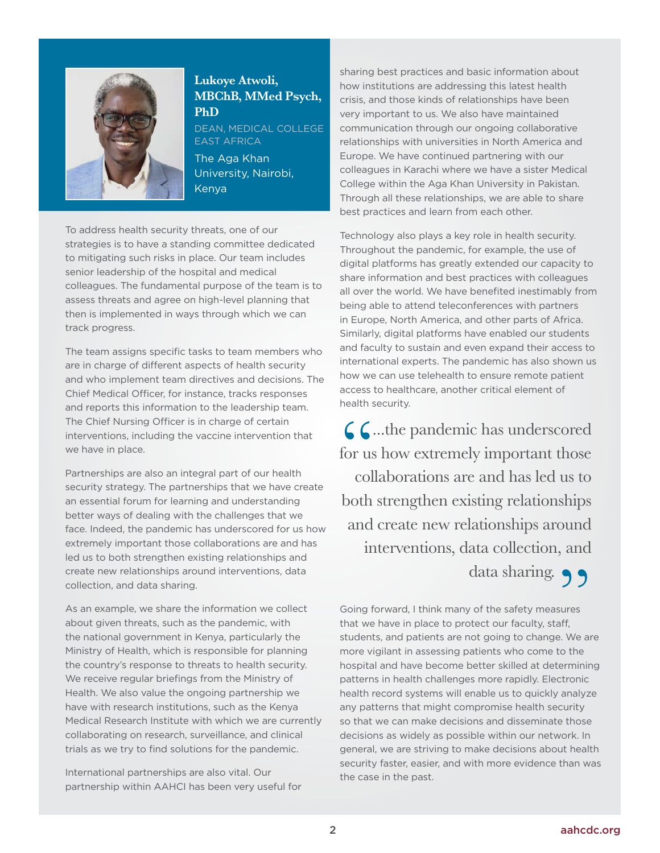

#### **Lukoye Atwoli, MBChB, MMed Psych, PhD**

DEAN, MEDICAL COLLEGE EAST AFRICA

The Aga Khan University, Nairobi, Kenya

To address health security threats, one of our strategies is to have a standing committee dedicated to mitigating such risks in place. Our team includes senior leadership of the hospital and medical colleagues. The fundamental purpose of the team is to assess threats and agree on high-level planning that then is implemented in ways through which we can track progress.

The team assigns specific tasks to team members who are in charge of different aspects of health security and who implement team directives and decisions. The Chief Medical Officer, for instance, tracks responses and reports this information to the leadership team. The Chief Nursing Officer is in charge of certain interventions, including the vaccine intervention that we have in place.

Partnerships are also an integral part of our health security strategy. The partnerships that we have create an essential forum for learning and understanding better ways of dealing with the challenges that we face. Indeed, the pandemic has underscored for us how extremely important those collaborations are and has led us to both strengthen existing relationships and create new relationships around interventions, data collection, and data sharing.

As an example, we share the information we collect about given threats, such as the pandemic, with the national government in Kenya, particularly the Ministry of Health, which is responsible for planning the country's response to threats to health security. We receive regular briefings from the Ministry of Health. We also value the ongoing partnership we have with research institutions, such as the Kenya Medical Research Institute with which we are currently collaborating on research, surveillance, and clinical trials as we try to find solutions for the pandemic.

International partnerships are also vital. Our partnership within AAHCI has been very useful for sharing best practices and basic information about how institutions are addressing this latest health crisis, and those kinds of relationships have been very important to us. We also have maintained communication through our ongoing collaborative relationships with universities in North America and Europe. We have continued partnering with our colleagues in Karachi where we have a sister Medical College within the Aga Khan University in Pakistan. Through all these relationships, we are able to share best practices and learn from each other.

Technology also plays a key role in health security. Throughout the pandemic, for example, the use of digital platforms has greatly extended our capacity to share information and best practices with colleagues all over the world. We have benefited inestimably from being able to attend teleconferences with partners in Europe, North America, and other parts of Africa. Similarly, digital platforms have enabled our students and faculty to sustain and even expand their access to international experts. The pandemic has also shown us how we can use telehealth to ensure remote patient access to healthcare, another critical element of health security.

" **6.** C. the pandemic has underscored for us how extremely important those collaborations are and has led us to both strengthen existing relationships and create new relationships around interventions, data collection, and data sharing.

Going forward, I think many of the safety measures that we have in place to protect our faculty, staff, students, and patients are not going to change. We are more vigilant in assessing patients who come to the hospital and have become better skilled at determining patterns in health challenges more rapidly. Electronic health record systems will enable us to quickly analyze any patterns that might compromise health security so that we can make decisions and disseminate those decisions as widely as possible within our network. In general, we are striving to make decisions about health security faster, easier, and with more evidence than was the case in the past.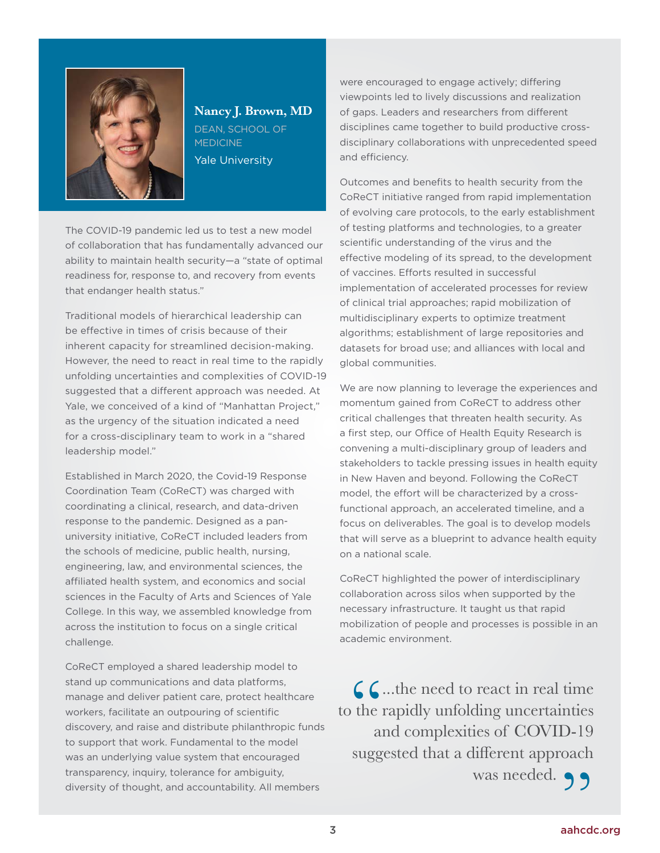

**Nancy J. Brown, MD** DEAN, SCHOOL OF **MEDICINE** Yale University

The COVID-19 pandemic led us to test a new model of collaboration that has fundamentally advanced our ability to maintain health security—a "state of optimal readiness for, response to, and recovery from events that endanger health status."

Traditional models of hierarchical leadership can be effective in times of crisis because of their inherent capacity for streamlined decision-making. However, the need to react in real time to the rapidly unfolding uncertainties and complexities of COVID-19 suggested that a different approach was needed. At Yale, we conceived of a kind of "Manhattan Project," as the urgency of the situation indicated a need for a cross-disciplinary team to work in a "shared leadership model."

Established in March 2020, the Covid-19 Response Coordination Team (CoReCT) was charged with coordinating a clinical, research, and data-driven response to the pandemic. Designed as a panuniversity initiative, CoReCT included leaders from the schools of medicine, public health, nursing, engineering, law, and environmental sciences, the affiliated health system, and economics and social sciences in the Faculty of Arts and Sciences of Yale College. In this way, we assembled knowledge from across the institution to focus on a single critical challenge.

CoReCT employed a shared leadership model to stand up communications and data platforms, manage and deliver patient care, protect healthcare workers, facilitate an outpouring of scientific discovery, and raise and distribute philanthropic funds to support that work. Fundamental to the model was an underlying value system that encouraged transparency, inquiry, tolerance for ambiguity, diversity of thought, and accountability. All members

were encouraged to engage actively; differing viewpoints led to lively discussions and realization of gaps. Leaders and researchers from different disciplines came together to build productive crossdisciplinary collaborations with unprecedented speed and efficiency.

Outcomes and benefits to health security from the CoReCT initiative ranged from rapid implementation of evolving care protocols, to the early establishment of testing platforms and technologies, to a greater scientific understanding of the virus and the effective modeling of its spread, to the development of vaccines. Efforts resulted in successful implementation of accelerated processes for review of clinical trial approaches; rapid mobilization of multidisciplinary experts to optimize treatment algorithms; establishment of large repositories and datasets for broad use; and alliances with local and global communities.

We are now planning to leverage the experiences and momentum gained from CoReCT to address other critical challenges that threaten health security. As a first step, our Office of Health Equity Research is convening a multi-disciplinary group of leaders and stakeholders to tackle pressing issues in health equity in New Haven and beyond. Following the CoReCT model, the effort will be characterized by a crossfunctional approach, an accelerated timeline, and a focus on deliverables. The goal is to develop models that will serve as a blueprint to advance health equity on a national scale.

CoReCT highlighted the power of interdisciplinary collaboration across silos when supported by the necessary infrastructure. It taught us that rapid mobilization of people and processes is possible in an academic environment.

Complete to react in real time<br>the rapidly unfolding uncertainties<br>and complexities of COVID-19 to the rapidly unfolding uncertainties and complexities of COVID-19 suggested that a different approach

was needed. 99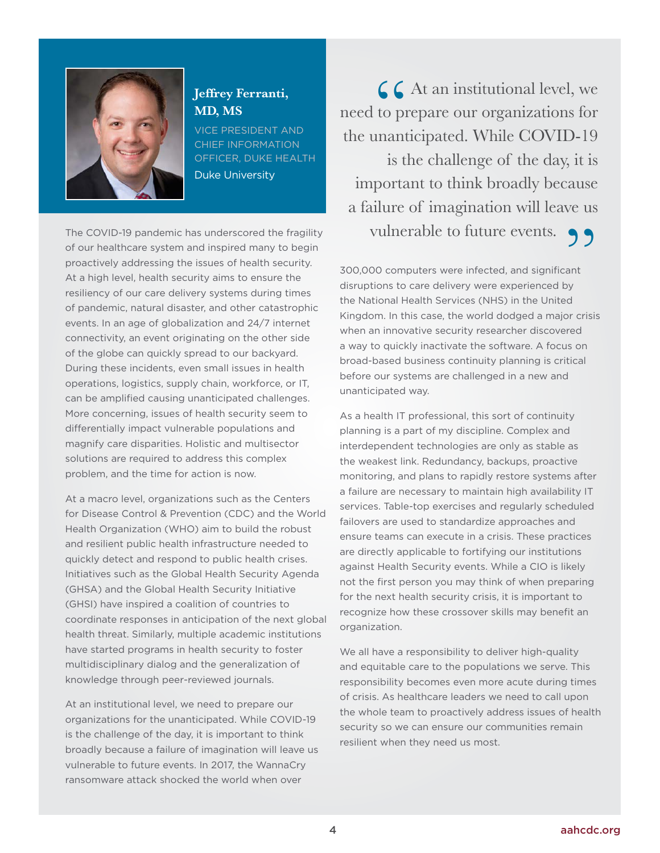

#### **Jeffrey Ferranti, MD, MS**

VICE PRESIDENT AND CHIEF INFORMATION OFFICER, DUKE HEALTH Duke University

The COVID-19 pandemic has underscored the fragility of our healthcare system and inspired many to begin proactively addressing the issues of health security. At a high level, health security aims to ensure the resiliency of our care delivery systems during times of pandemic, natural disaster, and other catastrophic events. In an age of globalization and 24/7 internet connectivity, an event originating on the other side of the globe can quickly spread to our backyard. During these incidents, even small issues in health operations, logistics, supply chain, workforce, or IT, can be amplified causing unanticipated challenges. More concerning, issues of health security seem to differentially impact vulnerable populations and magnify care disparities. Holistic and multisector solutions are required to address this complex problem, and the time for action is now.

At a macro level, organizations such as the Centers for Disease Control & Prevention (CDC) and the World Health Organization (WHO) aim to build the robust and resilient public health infrastructure needed to quickly detect and respond to public health crises. Initiatives such as the Global Health Security Agenda (GHSA) and the Global Health Security Initiative (GHSI) have inspired a coalition of countries to coordinate responses in anticipation of the next global health threat. Similarly, multiple academic institutions have started programs in health security to foster multidisciplinary dialog and the generalization of knowledge through peer-reviewed journals.

At an institutional level, we need to prepare our organizations for the unanticipated. While COVID-19 is the challenge of the day, it is important to think broadly because a failure of imagination will leave us vulnerable to future events. In 2017, the WannaCry ransomware attack shocked the world when over

CC At an institutional level, we<br>need to prepare our organizations for<br>the unanticipated. While COVID-19 need to prepare our organizations for is the challenge of the day, it is important to think broadly because a failure of imagination will leave us vulnerable to future events.

300,000 computers were infected, and significant disruptions to care delivery were experienced by the National Health Services (NHS) in the United Kingdom. In this case, the world dodged a major crisis when an innovative security researcher discovered a way to quickly inactivate the software. A focus on broad-based business continuity planning is critical before our systems are challenged in a new and unanticipated way.

As a health IT professional, this sort of continuity planning is a part of my discipline. Complex and interdependent technologies are only as stable as the weakest link. Redundancy, backups, proactive monitoring, and plans to rapidly restore systems after a failure are necessary to maintain high availability IT services. Table-top exercises and regularly scheduled failovers are used to standardize approaches and ensure teams can execute in a crisis. These practices are directly applicable to fortifying our institutions against Health Security events. While a CIO is likely not the first person you may think of when preparing for the next health security crisis, it is important to recognize how these crossover skills may benefit an organization.

We all have a responsibility to deliver high-quality and equitable care to the populations we serve. This responsibility becomes even more acute during times of crisis. As healthcare leaders we need to call upon the whole team to proactively address issues of health security so we can ensure our communities remain resilient when they need us most.